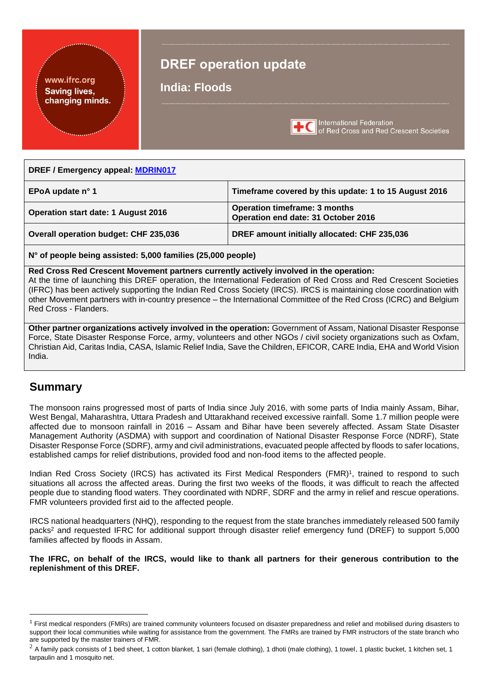#### <span id="page-0-0"></span>www.ifrc.org **Saving lives,** changing minds.

## **DREF operation update**

**India: Floods**



**International Federation** of Red Cross and Red Crescent Societies

#### **DREF / Emergency appeal: [MDRIN017](http://adore.ifrc.org/Download.aspx?FileId=140699)**

| EPoA update n° 1                      | Timeframe covered by this update: 1 to 15 August 2016                       |
|---------------------------------------|-----------------------------------------------------------------------------|
| Operation start date: 1 August 2016   | <b>Operation timeframe: 3 months</b><br>Operation end date: 31 October 2016 |
| Overall operation budget: CHF 235,036 | DREF amount initially allocated: CHF 235,036                                |

**N° of people being assisted: 5,000 families (25,000 people)**

**Red Cross Red Crescent Movement partners currently actively involved in the operation:**

At the time of launching this DREF operation, the International Federation of Red Cross and Red Crescent Societies (IFRC) has been actively supporting the Indian Red Cross Society (IRCS). IRCS is maintaining close coordination with other Movement partners with in-country presence – the International Committee of the Red Cross (ICRC) and Belgium Red Cross - Flanders.

**Other partner organizations actively involved in the operation:** Government of Assam, National Disaster Response Force, State Disaster Response Force, army, volunteers and other NGOs / civil society organizations such as Oxfam, Christian Aid, Caritas India, CASA, Islamic Relief India, Save the Children, EFICOR, CARE India, EHA and World Vision India.

## **Summary**

1

The monsoon rains progressed most of parts of India since July 2016, with some parts of India mainly Assam, Bihar, West Bengal, Maharashtra, Uttara Pradesh and Uttarakhand received excessive rainfall. Some 1.7 million people were affected due to monsoon rainfall in 2016 – Assam and Bihar have been severely affected. Assam State Disaster Management Authority (ASDMA) with support and coordination of National Disaster Response Force (NDRF), State Disaster Response Force (SDRF), army and civil administrations, evacuated people affected by floods to safer locations, established camps for relief distributions, provided food and non-food items to the affected people.

Indian Red Cross Society (IRCS) has activated its First Medical Responders (FMR)<sup>1</sup>, trained to respond to such situations all across the affected areas. During the first two weeks of the floods, it was difficult to reach the affected people due to standing flood waters. They coordinated with NDRF, SDRF and the army in relief and rescue operations. FMR volunteers provided first aid to the affected people.

IRCS national headquarters (NHQ), responding to the request from the state branches immediately released 500 family packs<sup>2</sup> and requested IFRC for additional support through disaster relief emergency fund (DREF) to support 5,000 families affected by floods in Assam.

**The IFRC, on behalf of the IRCS, would like to thank all partners for their generous contribution to the replenishment of this DREF.**

 $1$  First medical responders (FMRs) are trained community volunteers focused on disaster preparedness and relief and mobilised during disasters to support their local communities while waiting for assistance from the government. The FMRs are trained by FMR instructors of the state branch who are supported by the master trainers of FMR.

 $2$  A family pack consists of 1 bed sheet, 1 cotton blanket, 1 sari (female clothing), 1 dhoti (male clothing), 1 towel, 1 plastic bucket, 1 kitchen set, 1 tarpaulin and 1 mosquito net.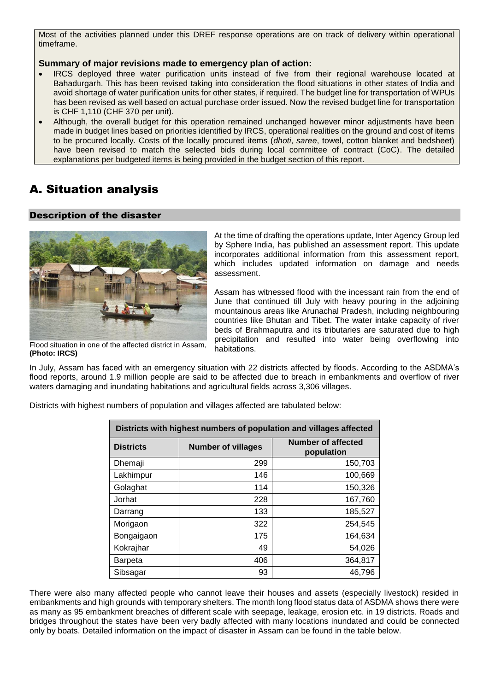Most of the activities planned under this DREF response operations are on track of delivery within operational timeframe.

#### **Summary of major revisions made to emergency plan of action:**

- IRCS deployed three water purification units instead of five from their regional warehouse located at Bahadurgarh. This has been revised taking into consideration the flood situations in other states of India and avoid shortage of water purification units for other states, if required. The budget line for transportation of WPUs has been revised as well based on actual purchase order issued. Now the revised budget line for transportation is CHF 1,110 (CHF 370 per unit).
- Although, the overall budget for this operation remained unchanged however minor adjustments have been made in budget lines based on priorities identified by IRCS, operational realities on the ground and cost of items to be procured locally. Costs of the locally procured items (*dhoti*, *saree*, towel, cotton blanket and bedsheet) have been revised to match the selected bids during local committee of contract (CoC). The detailed explanations per budgeted items is being provided in the budget section of this report.

## A. Situation analysis

#### Description of the disaster



At the time of drafting the operations update, Inter Agency Group led by Sphere India, has published an assessment report. This update incorporates additional information from this assessment report, which includes updated information on damage and needs assessment.

Assam has witnessed flood with the incessant rain from the end of June that continued till July with heavy pouring in the adjoining mountainous areas like Arunachal Pradesh, including neighbouring countries like Bhutan and Tibet. The water intake capacity of river beds of Brahmaputra and its tributaries are saturated due to high precipitation and resulted into water being overflowing into habitations.

Flood situation in one of the affected district in Assam, **(Photo: IRCS)**

In July, Assam has faced with an emergency situation with 22 districts affected by floods. According to the ASDMA's flood reports, around 1.9 million people are said to be affected due to breach in embankments and overflow of river waters damaging and inundating habitations and agricultural fields across 3,306 villages.

| Districts with highest numbers of population and villages affected |                           |                                         |  |
|--------------------------------------------------------------------|---------------------------|-----------------------------------------|--|
| <b>Districts</b>                                                   | <b>Number of villages</b> | <b>Number of affected</b><br>population |  |
| Dhemaji                                                            | 299                       | 150,703                                 |  |
| Lakhimpur                                                          | 146                       | 100,669                                 |  |
| Golaghat                                                           | 114                       | 150,326                                 |  |
| Jorhat                                                             | 228                       | 167,760                                 |  |
| Darrang                                                            | 133                       | 185,527                                 |  |
| Morigaon                                                           | 322                       | 254,545                                 |  |
| Bongaigaon                                                         | 175                       | 164,634                                 |  |
| Kokrajhar                                                          | 49                        | 54,026                                  |  |
| <b>Barpeta</b>                                                     | 406                       | 364,817                                 |  |
| Sibsagar                                                           | 93                        | 46,796                                  |  |

Districts with highest numbers of population and villages affected are tabulated below:

There were also many affected people who cannot leave their houses and assets (especially livestock) resided in embankments and high grounds with temporary shelters. The month long flood status data of ASDMA shows there were as many as 95 embankment breaches of different scale with seepage, leakage, erosion etc. in 19 districts. Roads and bridges throughout the states have been very badly affected with many locations inundated and could be connected only by boats. Detailed information on the impact of disaster in Assam can be found in the table below.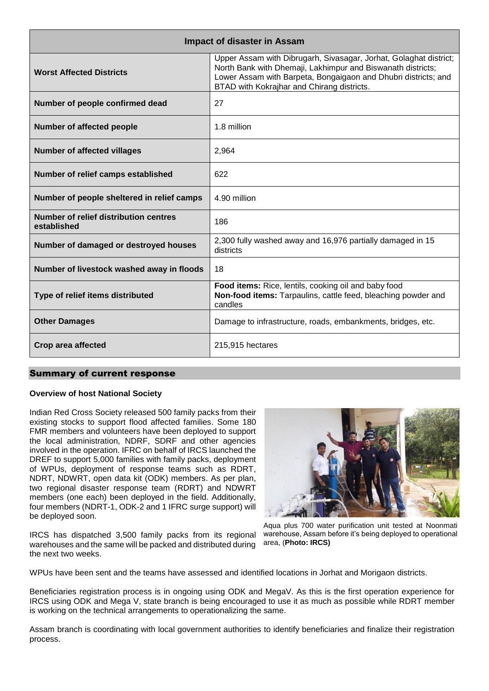| <b>Impact of disaster in Assam</b>                   |                                                                                                                                                                                                                                                  |  |  |
|------------------------------------------------------|--------------------------------------------------------------------------------------------------------------------------------------------------------------------------------------------------------------------------------------------------|--|--|
| <b>Worst Affected Districts</b>                      | Upper Assam with Dibrugarh, Sivasagar, Jorhat, Golaghat district;<br>North Bank with Dhemaji, Lakhimpur and Biswanath districts;<br>Lower Assam with Barpeta, Bongaigaon and Dhubri districts; and<br>BTAD with Kokrajhar and Chirang districts. |  |  |
| Number of people confirmed dead                      | 27                                                                                                                                                                                                                                               |  |  |
| Number of affected people                            | 1.8 million                                                                                                                                                                                                                                      |  |  |
| <b>Number of affected villages</b>                   | 2,964                                                                                                                                                                                                                                            |  |  |
| Number of relief camps established                   | 622                                                                                                                                                                                                                                              |  |  |
| Number of people sheltered in relief camps           | 4.90 million                                                                                                                                                                                                                                     |  |  |
| Number of relief distribution centres<br>established | 186                                                                                                                                                                                                                                              |  |  |
| Number of damaged or destroyed houses                | 2,300 fully washed away and 16,976 partially damaged in 15<br>districts                                                                                                                                                                          |  |  |
| Number of livestock washed away in floods            | 18                                                                                                                                                                                                                                               |  |  |
| Type of relief items distributed                     | Food items: Rice, lentils, cooking oil and baby food<br>Non-food items: Tarpaulins, cattle feed, bleaching powder and<br>candles                                                                                                                 |  |  |
| <b>Other Damages</b>                                 | Damage to infrastructure, roads, embankments, bridges, etc.                                                                                                                                                                                      |  |  |
| Crop area affected                                   | 215,915 hectares                                                                                                                                                                                                                                 |  |  |

#### Summary of current response

#### **Overview of host National Society**

Indian Red Cross Society released 500 family packs from their existing stocks to support flood affected families. Some 180 FMR members and volunteers have been deployed to support the local administration, NDRF, SDRF and other agencies involved in the operation. IFRC on behalf of IRCS launched the DREF to support 5,000 families with family packs, deployment of WPUs, deployment of response teams such as RDRT, NDRT, NDWRT, open data kit (ODK) members. As per plan, two regional disaster response team (RDRT) and NDWRT members (one each) been deployed in the field. Additionally, four members (NDRT-1, ODK-2 and 1 IFRC surge support) will be deployed soon.

IRCS has dispatched 3,500 family packs from its regional warehouses and the same will be packed and distributed during the next two weeks.

Aqua plus 700 water purification unit tested at Noonmati warehouse, Assam before it's being deployed to operational area, (**Photo: IRCS)**

WPUs have been sent and the teams have assessed and identified locations in Jorhat and Morigaon districts.

Beneficiaries registration process is in ongoing using ODK and MegaV. As this is the first operation experience for IRCS using ODK and Mega V, state branch is being encouraged to use it as much as possible while RDRT member is working on the technical arrangements to operationalizing the same.

Assam branch is coordinating with local government authorities to identify beneficiaries and finalize their registration process.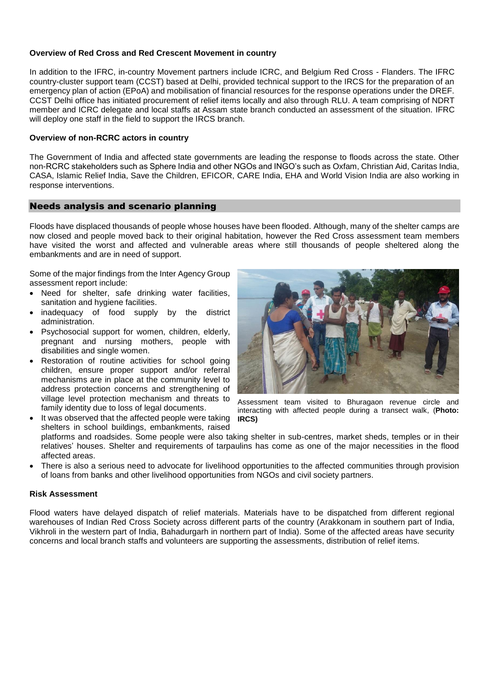#### **Overview of Red Cross and Red Crescent Movement in country**

In addition to the IFRC, in-country Movement partners include ICRC, and Belgium Red Cross - Flanders. The IFRC country-cluster support team (CCST) based at Delhi, provided technical support to the IRCS for the preparation of an emergency plan of action (EPoA) and mobilisation of financial resources for the response operations under the DREF. CCST Delhi office has initiated procurement of relief items locally and also through RLU. A team comprising of NDRT member and ICRC delegate and local staffs at Assam state branch conducted an assessment of the situation. IFRC will deploy one staff in the field to support the IRCS branch.

#### **Overview of non-RCRC actors in country**

The Government of India and affected state governments are leading the response to floods across the state. Other non-RCRC stakeholders such as Sphere India and other NGOs and INGO's such as Oxfam, Christian Aid, Caritas India, CASA, Islamic Relief India, Save the Children, EFICOR, CARE India, EHA and World Vision India are also working in response interventions.

#### Needs analysis and scenario planning

Floods have displaced thousands of people whose houses have been flooded. Although, many of the shelter camps are now closed and people moved back to their original habitation, however the Red Cross assessment team members have visited the worst and affected and vulnerable areas where still thousands of people sheltered along the embankments and are in need of support.

Some of the major findings from the Inter Agency Group assessment report include:

- Need for shelter, safe drinking water facilities, sanitation and hygiene facilities.
- inadequacy of food supply by the district administration.
- Psychosocial support for women, children, elderly, pregnant and nursing mothers, people with disabilities and single women.
- Restoration of routine activities for school going children, ensure proper support and/or referral mechanisms are in place at the community level to address protection concerns and strengthening of village level protection mechanism and threats to family identity due to loss of legal documents. • It was observed that the affected people were taking



Assessment team visited to Bhuragaon revenue circle and interacting with affected people during a transect walk, (**Photo: IRCS)**

shelters in school buildings, embankments, raised platforms and roadsides. Some people were also taking shelter in sub-centres, market sheds, temples or in their relatives' houses. Shelter and requirements of tarpaulins has come as one of the major necessities in the flood affected areas.

 There is also a serious need to advocate for livelihood opportunities to the affected communities through provision of loans from banks and other livelihood opportunities from NGOs and civil society partners.

#### **Risk Assessment**

Flood waters have delayed dispatch of relief materials. Materials have to be dispatched from different regional warehouses of Indian Red Cross Society across different parts of the country (Arakkonam in southern part of India, Vikhroli in the western part of India, Bahadurgarh in northern part of India). Some of the affected areas have security concerns and local branch staffs and volunteers are supporting the assessments, distribution of relief items.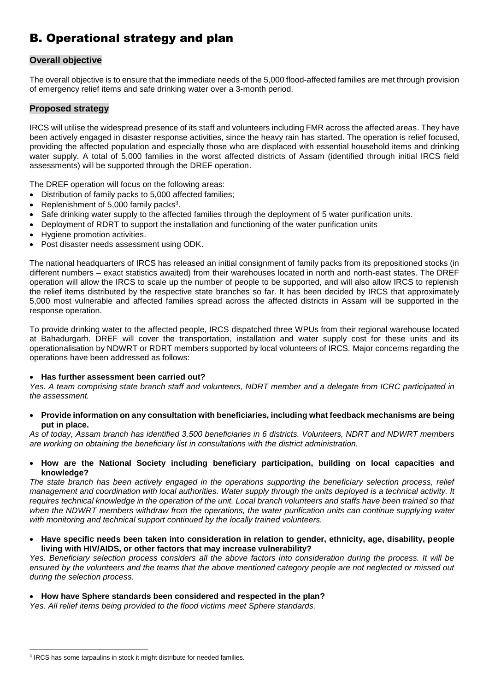## B. Operational strategy and plan

#### **Overall objective**

The overall objective is to ensure that the immediate needs of the 5,000 flood-affected families are met through provision of emergency relief items and safe drinking water over a 3-month period.

#### **Proposed strategy**

IRCS will utilise the widespread presence of its staff and volunteers including FMR across the affected areas. They have been actively engaged in disaster response activities, since the heavy rain has started. The operation is relief focused, providing the affected population and especially those who are displaced with essential household items and drinking water supply. A total of 5,000 families in the worst affected districts of Assam (identified through initial IRCS field assessments) will be supported through the DREF operation.

The DREF operation will focus on the following areas:

- Distribution of family packs to 5,000 affected families;
- Replenishment of  $5,000$  family packs<sup>3</sup>.
- Safe drinking water supply to the affected families through the deployment of 5 water purification units.
- Deployment of RDRT to support the installation and functioning of the water purification units
- Hygiene promotion activities.
- Post disaster needs assessment using ODK.

The national headquarters of IRCS has released an initial consignment of family packs from its prepositioned stocks (in different numbers – exact statistics awaited) from their warehouses located in north and north-east states. The DREF operation will allow the IRCS to scale up the number of people to be supported, and will also allow IRCS to replenish the relief items distributed by the respective state branches so far. It has been decided by IRCS that approximately 5,000 most vulnerable and affected families spread across the affected districts in Assam will be supported in the response operation.

To provide drinking water to the affected people, IRCS dispatched three WPUs from their regional warehouse located at Bahadurgarh. DREF will cover the transportation, installation and water supply cost for these units and its operationalisation by NDWRT or RDRT members supported by local volunteers of IRCS. Major concerns regarding the operations have been addressed as follows:

#### **Has further assessment been carried out?**

*Yes. A team comprising state branch staff and volunteers, NDRT member and a delegate from ICRC participated in the assessment.*

 **Provide information on any consultation with beneficiaries, including what feedback mechanisms are being put in place.** 

*As of today, Assam branch has identified 3,500 beneficiaries in 6 districts. Volunteers, NDRT and NDWRT members are working on obtaining the beneficiary list in consultations with the district administration.*

 **How are the National Society including beneficiary participation, building on local capacities and knowledge?**

*The state branch has been actively engaged in the operations supporting the beneficiary selection process, relief management and coordination with local authorities. Water supply through the units deployed is a technical activity. It requires technical knowledge in the operation of the unit. Local branch volunteers and staffs have been trained so that when the NDWRT members withdraw from the operations, the water purification units can continue supplying water with monitoring and technical support continued by the locally trained volunteers.*

 **Have specific needs been taken into consideration in relation to gender, ethnicity, age, disability, people living with HIV/AIDS, or other factors that may increase vulnerability?**

*Yes. Beneficiary selection process considers all the above factors into consideration during the process. It will be ensured by the volunteers and the teams that the above mentioned category people are not neglected or missed out during the selection process.*

#### **How have Sphere standards been considered and respected in the plan?**

*Yes. All relief items being provided to the flood victims meet Sphere standards.* 

-

<sup>&</sup>lt;sup>3</sup> IRCS has some tarpaulins in stock it might distribute for needed families.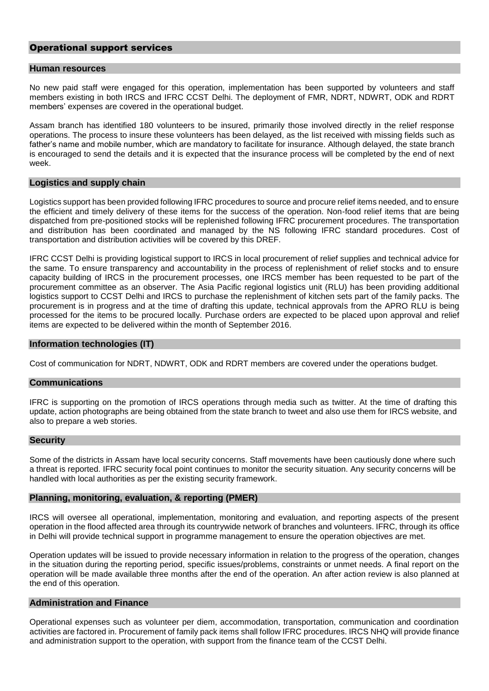#### Operational support services

#### **Human resources**

No new paid staff were engaged for this operation, implementation has been supported by volunteers and staff members existing in both IRCS and IFRC CCST Delhi. The deployment of FMR, NDRT, NDWRT, ODK and RDRT members' expenses are covered in the operational budget.

Assam branch has identified 180 volunteers to be insured, primarily those involved directly in the relief response operations. The process to insure these volunteers has been delayed, as the list received with missing fields such as father's name and mobile number, which are mandatory to facilitate for insurance. Although delayed, the state branch is encouraged to send the details and it is expected that the insurance process will be completed by the end of next week.

#### **Logistics and supply chain**

Logistics support has been provided following IFRC procedures to source and procure relief items needed, and to ensure the efficient and timely delivery of these items for the success of the operation. Non-food relief items that are being dispatched from pre-positioned stocks will be replenished following IFRC procurement procedures. The transportation and distribution has been coordinated and managed by the NS following IFRC standard procedures. Cost of transportation and distribution activities will be covered by this DREF.

IFRC CCST Delhi is providing logistical support to IRCS in local procurement of relief supplies and technical advice for the same. To ensure transparency and accountability in the process of replenishment of relief stocks and to ensure capacity building of IRCS in the procurement processes, one IRCS member has been requested to be part of the procurement committee as an observer. The Asia Pacific regional logistics unit (RLU) has been providing additional logistics support to CCST Delhi and IRCS to purchase the replenishment of kitchen sets part of the family packs. The procurement is in progress and at the time of drafting this update, technical approvals from the APRO RLU is being processed for the items to be procured locally. Purchase orders are expected to be placed upon approval and relief items are expected to be delivered within the month of September 2016.

#### **Information technologies (IT)**

Cost of communication for NDRT, NDWRT, ODK and RDRT members are covered under the operations budget.

#### **Communications**

IFRC is supporting on the promotion of IRCS operations through media such as twitter. At the time of drafting this update, action photographs are being obtained from the state branch to tweet and also use them for IRCS website, and also to prepare a web stories.

#### **Security**

Some of the districts in Assam have local security concerns. Staff movements have been cautiously done where such a threat is reported. IFRC security focal point continues to monitor the security situation. Any security concerns will be handled with local authorities as per the existing security framework.

#### **Planning, monitoring, evaluation, & reporting (PMER)**

IRCS will oversee all operational, implementation, monitoring and evaluation, and reporting aspects of the present operation in the flood affected area through its countrywide network of branches and volunteers. IFRC, through its office in Delhi will provide technical support in programme management to ensure the operation objectives are met.

Operation updates will be issued to provide necessary information in relation to the progress of the operation, changes in the situation during the reporting period, specific issues/problems, constraints or unmet needs. A final report on the operation will be made available three months after the end of the operation. An after action review is also planned at the end of this operation.

#### **Administration and Finance**

Operational expenses such as volunteer per diem, accommodation, transportation, communication and coordination activities are factored in. Procurement of family pack items shall follow IFRC procedures. IRCS NHQ will provide finance and administration support to the operation, with support from the finance team of the CCST Delhi.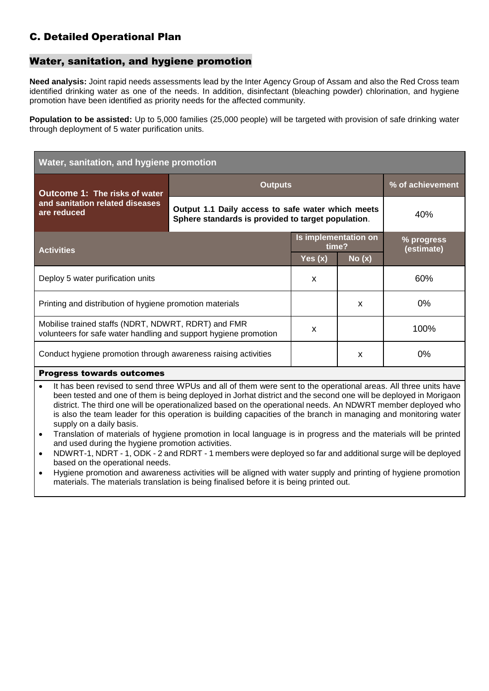## C. Detailed Operational Plan

### Water, sanitation, and hygiene promotion

**Need analysis:** Joint rapid needs assessments lead by the Inter Agency Group of Assam and also the Red Cross team identified drinking water as one of the needs. In addition, disinfectant (bleaching powder) chlorination, and hygiene promotion have been identified as priority needs for the affected community.

**Population to be assisted:** Up to 5,000 families (25,000 people) will be targeted with provision of safe drinking water through deployment of 5 water purification units.

| Water, sanitation, and hygiene promotion                                                                                                                                                                                            |                                                                                                         |                               |       |                          |
|-------------------------------------------------------------------------------------------------------------------------------------------------------------------------------------------------------------------------------------|---------------------------------------------------------------------------------------------------------|-------------------------------|-------|--------------------------|
| Outcome 1: The risks of water                                                                                                                                                                                                       | <b>Outputs</b>                                                                                          |                               |       | % of achievement         |
| and sanitation related diseases<br>are reduced                                                                                                                                                                                      | Output 1.1 Daily access to safe water which meets<br>Sphere standards is provided to target population. |                               |       | 40%                      |
| <b>Activities</b>                                                                                                                                                                                                                   |                                                                                                         | Is implementation on<br>time? |       | % progress<br>(estimate) |
|                                                                                                                                                                                                                                     |                                                                                                         | Yes $(x)$                     | No(x) |                          |
| Deploy 5 water purification units                                                                                                                                                                                                   |                                                                                                         | X                             |       | 60%                      |
| Printing and distribution of hygiene promotion materials                                                                                                                                                                            |                                                                                                         |                               | X     | $0\%$                    |
| Mobilise trained staffs (NDRT, NDWRT, RDRT) and FMR<br>volunteers for safe water handling and support hygiene promotion                                                                                                             |                                                                                                         | X                             |       | 100%                     |
| Conduct hygiene promotion through awareness raising activities                                                                                                                                                                      |                                                                                                         |                               | X     | $0\%$                    |
| <b>Progress towards outcomes</b>                                                                                                                                                                                                    |                                                                                                         |                               |       |                          |
| It has been revised to send three WPUs and all of them were sent to the operational areas. All three units have<br>heen tested and one of them is heing deployed in Jorbat district and the second one will be deployed in Morigaon |                                                                                                         |                               |       |                          |

- been tested and one of them is being deployed in Jorhat district and the second one will be deployed in Morigaon district. The third one will be operationalized based on the operational needs. An NDWRT member deployed who is also the team leader for this operation is building capacities of the branch in managing and monitoring water supply on a daily basis.
- Translation of materials of hygiene promotion in local language is in progress and the materials will be printed and used during the hygiene promotion activities.
- NDWRT-1, NDRT 1, ODK 2 and RDRT 1 members were deployed so far and additional surge will be deployed based on the operational needs.
- Hygiene promotion and awareness activities will be aligned with water supply and printing of hygiene promotion materials. The materials translation is being finalised before it is being printed out.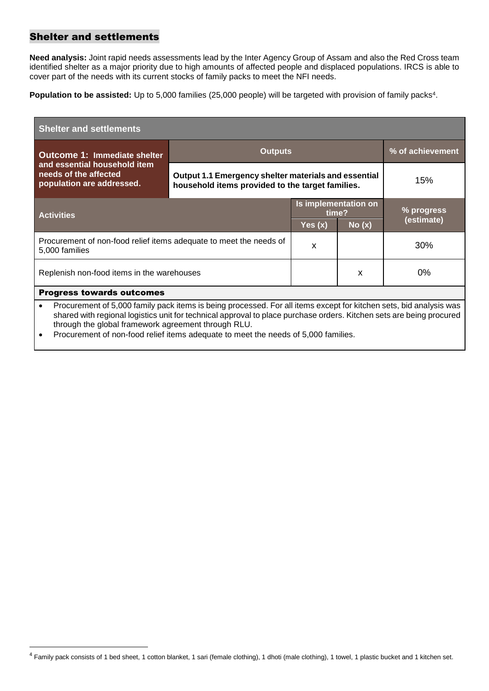#### Shelter and settlements

-

**Need analysis:** Joint rapid needs assessments lead by the Inter Agency Group of Assam and also the Red Cross team identified shelter as a major priority due to high amounts of affected people and displaced populations. IRCS is able to cover part of the needs with its current stocks of family packs to meet the NFI needs.

**Population to be assisted:** Up to 5,000 families (25,000 people) will be targeted with provision of family packs<sup>4</sup>.

| <b>Shelter and settlements</b>                                                                                                                                                                                                                                                                                                                                                                       |                                                                                                          |                               |       |                  |
|------------------------------------------------------------------------------------------------------------------------------------------------------------------------------------------------------------------------------------------------------------------------------------------------------------------------------------------------------------------------------------------------------|----------------------------------------------------------------------------------------------------------|-------------------------------|-------|------------------|
| Outcome 1: Immediate shelter                                                                                                                                                                                                                                                                                                                                                                         | <b>Outputs</b>                                                                                           |                               |       | % of achievement |
| and essential household item<br>needs of the affected<br>population are addressed.                                                                                                                                                                                                                                                                                                                   | Output 1.1 Emergency shelter materials and essential<br>household items provided to the target families. |                               |       | 15%              |
| <b>Activities</b>                                                                                                                                                                                                                                                                                                                                                                                    |                                                                                                          | Is implementation on<br>time? |       | % progress       |
|                                                                                                                                                                                                                                                                                                                                                                                                      |                                                                                                          | Yes $(x)$                     | No(x) | (estimate)       |
| Procurement of non-food relief items adequate to meet the needs of<br>5,000 families                                                                                                                                                                                                                                                                                                                 |                                                                                                          | X                             |       | 30%              |
| Replenish non-food items in the warehouses                                                                                                                                                                                                                                                                                                                                                           |                                                                                                          |                               | X     | $0\%$            |
| <b>Progress towards outcomes</b>                                                                                                                                                                                                                                                                                                                                                                     |                                                                                                          |                               |       |                  |
| Procurement of 5,000 family pack items is being processed. For all items except for kitchen sets, bid analysis was<br>$\bullet$<br>shared with regional logistics unit for technical approval to place purchase orders. Kitchen sets are being procured<br>through the global framework agreement through RLU.<br>Procurement of non-food relief items adequate to meet the needs of 5,000 families. |                                                                                                          |                               |       |                  |

<sup>4</sup> Family pack consists of 1 bed sheet, 1 cotton blanket, 1 sari (female clothing), 1 dhoti (male clothing), 1 towel, 1 plastic bucket and 1 kitchen set.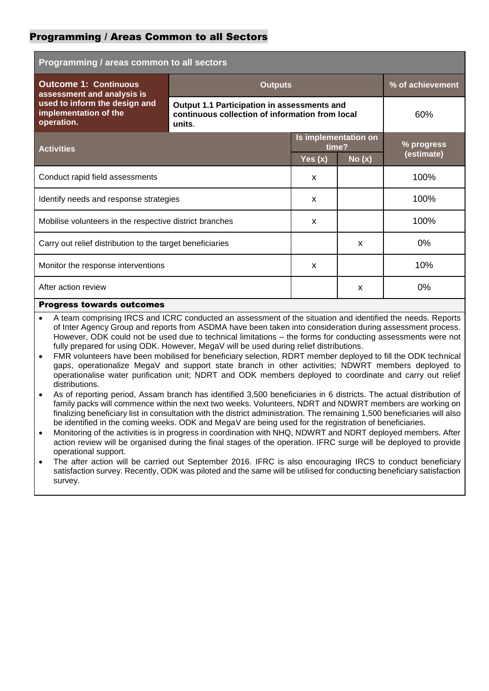#### Programming / Areas Common to all Sectors

| Programming / areas common to all sectors                            |                                                                                                          |                               |       |                  |
|----------------------------------------------------------------------|----------------------------------------------------------------------------------------------------------|-------------------------------|-------|------------------|
| <b>Outcome 1: Continuous</b><br>assessment and analysis is           | <b>Outputs</b>                                                                                           |                               |       | % of achievement |
| used to inform the design and<br>implementation of the<br>operation. | Output 1.1 Participation in assessments and<br>continuous collection of information from local<br>units. |                               |       | 60%              |
| <b>Activities</b>                                                    |                                                                                                          | Is implementation on<br>time? |       | % progress       |
|                                                                      |                                                                                                          | Yes $(x)$                     | No(x) | (estimate)       |
| Conduct rapid field assessments                                      |                                                                                                          | $\boldsymbol{\mathsf{x}}$     |       | 100%             |
| Identify needs and response strategies                               |                                                                                                          | $\boldsymbol{\mathsf{x}}$     |       | 100%             |
| Mobilise volunteers in the respective district branches              |                                                                                                          | $\boldsymbol{\mathsf{x}}$     |       | 100%             |
| Carry out relief distribution to the target beneficiaries            |                                                                                                          |                               | X     | $0\%$            |
| Monitor the response interventions                                   |                                                                                                          | X                             |       | 10%              |
| After action review                                                  |                                                                                                          |                               | X     | $0\%$            |
| <b>Progress towards outcomes</b>                                     |                                                                                                          |                               |       |                  |

 A team comprising IRCS and ICRC conducted an assessment of the situation and identified the needs. Reports of Inter Agency Group and reports from ASDMA have been taken into consideration during assessment process. However, ODK could not be used due to technical limitations – the forms for conducting assessments were not fully prepared for using ODK. However, MegaV will be used during relief distributions.

- FMR volunteers have been mobilised for beneficiary selection, RDRT member deployed to fill the ODK technical gaps, operationalize MegaV and support state branch in other activities; NDWRT members deployed to operationalise water purification unit; NDRT and ODK members deployed to coordinate and carry out relief distributions.
- As of reporting period, Assam branch has identified 3,500 beneficiaries in 6 districts. The actual distribution of family packs will commence within the next two weeks. Volunteers, NDRT and NDWRT members are working on finalizing beneficiary list in consultation with the district administration. The remaining 1,500 beneficiaries will also be identified in the coming weeks. ODK and MegaV are being used for the registration of beneficiaries.
- Monitoring of the activities is in progress in coordination with NHQ, NDWRT and NDRT deployed members. After action review will be organised during the final stages of the operation. IFRC surge will be deployed to provide operational support.
- The after action will be carried out September 2016. IFRC is also encouraging IRCS to conduct beneficiary satisfaction survey. Recently, ODK was piloted and the same will be utilised for conducting beneficiary satisfaction survey.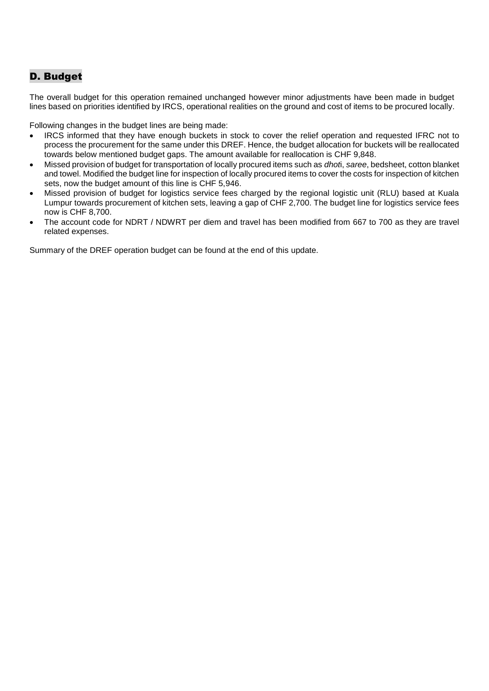## D. Budget

The overall budget for this operation remained unchanged however minor adjustments have been made in budget lines based on priorities identified by IRCS, operational realities on the ground and cost of items to be procured locally.

Following changes in the budget lines are being made:

- IRCS informed that they have enough buckets in stock to cover the relief operation and requested IFRC not to process the procurement for the same under this DREF. Hence, the budget allocation for buckets will be reallocated towards below mentioned budget gaps. The amount available for reallocation is CHF 9,848.
- Missed provision of budget for transportation of locally procured items such as *dhot*i, *saree*, bedsheet, cotton blanket and towel. Modified the budget line for inspection of locally procured items to cover the costs for inspection of kitchen sets, now the budget amount of this line is CHF 5,946.
- Missed provision of budget for logistics service fees charged by the regional logistic unit (RLU) based at Kuala Lumpur towards procurement of kitchen sets, leaving a gap of CHF 2,700. The budget line for logistics service fees now is CHF 8,700.
- The account code for NDRT / NDWRT per diem and travel has been modified from 667 to 700 as they are travel related expenses.

Summary of the DREF operation budget can be found at the end of this update.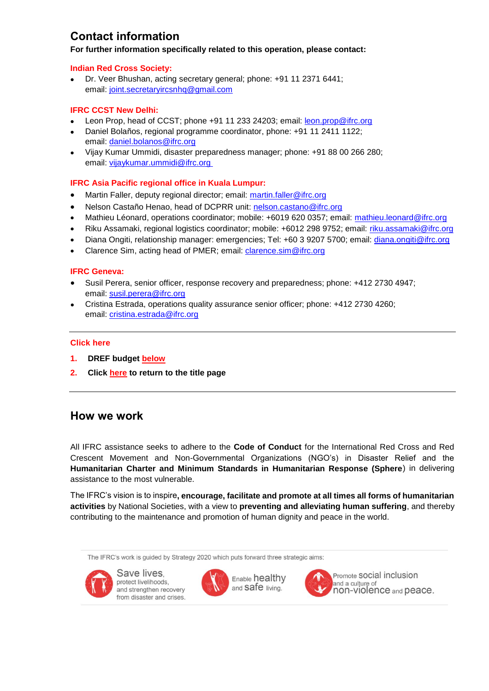## **Contact information**

#### **For further information specifically related to this operation, please contact:**

#### **Indian Red Cross Society:**

 Dr. Veer Bhushan, acting secretary general; phone: +91 11 2371 6441; email: [joint.secretaryircsnhq@gmail.com](mailto:joint.secretaryircsnhq@gmail.com)

#### **IFRC CCST New Delhi:**

- Leon Prop, head of CCST; phone +91 11 233 24203; email: [leon.prop@ifrc.org](mailto:leon.prop@ifrc.org)
- Daniel Bolaños, regional programme coordinator, phone: +91 11 2411 1122; email: [daniel.bolanos@ifrc.org](mailto:daniel.bolanos@ifrc.org)
- Vijay Kumar Ummidi, disaster preparedness manager; phone: +91 88 00 266 280; email: [vijaykumar.ummidi@ifrc.org](mailto:vijaykumar.ummidi@ifrc.org)

#### **IFRC Asia Pacific regional office in Kuala Lumpur:**

- Martin Faller, deputy regional director; email: [martin.faller@ifrc.org](mailto:martin.faller@ifrc.org)
- Nelson Castaño Henao, head of DCPRR unit: [nelson.castano@ifrc.org](mailto:nelson.castano@ifrc.org)
- Mathieu Léonard, operations coordinator; mobile: +6019 620 0357; email: [mathieu.leonard@ifrc.org](mailto:mathieu.leonard@ifrc.org)
- Riku Assamaki, regional logistics coordinator; mobile: +6012 298 9752; email: [riku.assamaki@ifrc.org](mailto:alka.kapoorsharma@ifrc.org)
- Diana Ongiti, relationship manager: emergencies; Tel: +60 3 9207 5700; email: [diana.ongiti@ifrc.org](mailto:diana.ongiti@ifrc.org)
- Clarence Sim, acting head of PMER; email: [clarence.sim@ifrc.org](mailto:clarence.sim@ifrc.org)

#### **IFRC Geneva:**

- Susil Perera, senior officer, response recovery and preparedness; phone: +412 2730 4947; email: [susil.perera@ifrc.org](mailto:susil.perera@ifrc.org)
- Cristina Estrada, operations quality assurance senior officer; phone: +412 2730 4260; email: [cristina.estrada@ifrc.org](mailto:cristina.estrada@ifrc.org)

#### **Click here**

- **1. DREF budge[t below](#page-11-0)**
- **2. Clic[k here](#page-0-0) to return to the title page**

## **How we work**

All IFRC assistance seeks to adhere to the **Code of Conduct** for the International Red Cross and Red Crescent Movement and Non-Governmental Organizations (NGO's) in Disaster Relief and the **Humanitarian Charter and Minimum Standards in Humanitarian Response (Sphere**) in delivering assistance to the most vulnerable.

The IFRC's vision is to inspire**, encourage, facilitate and promote at all times all forms of humanitarian activities** by National Societies, with a view to **preventing and alleviating human suffering**, and thereby contributing to the maintenance and promotion of human dignity and peace in the world.

The IFRC's work is guided by Strategy 2020 which puts forward three strategic aims:



Save lives. protect livelihoods. and strengthen recovery from disaster and crises.



Enable healthy and Safe living.



Promote SOCial inclusion and a culture of non-violence and peace.